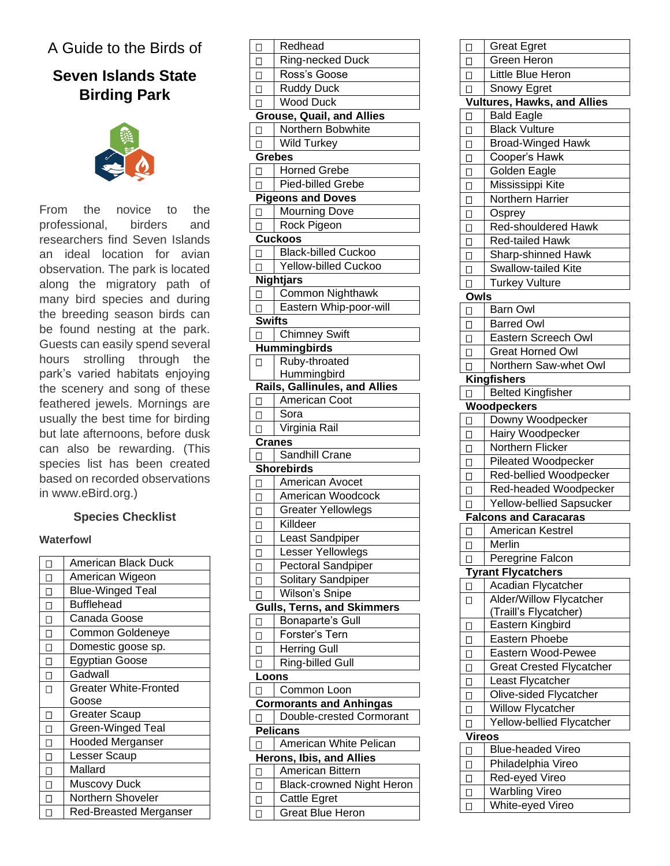## A Guide to the Birds of

# **Seven Islands State Birding Park**



From the novice to the professional, birders and researchers find Seven Islands an ideal location for avian observation. The park is located along the migratory path of many bird species and during the breeding season birds can be found nesting at the park. Guests can easily spend several hours strolling through the park's varied habitats enjoying the scenery and song of these feathered jewels. Mornings are usually the best time for birding but late afternoons, before dusk can also be rewarding. (This species list has been created based on recorded observations in www.eBird.org.)

#### **Species Checklist**

#### **Waterfowl**

|                   | American Black Duck          |
|-------------------|------------------------------|
| П                 | American Wigeon              |
| П                 | <b>Blue-Winged Teal</b>      |
| П                 | <b>Bufflehead</b>            |
| П                 | Canada Goose                 |
| П                 | Common Goldeneye             |
| П                 | Domestic goose sp.           |
| $\overline{\Box}$ | <b>Egyptian Goose</b>        |
| П                 | Gadwall                      |
| $\Box$            | <b>Greater White-Fronted</b> |
|                   | Goose                        |
| П                 | <b>Greater Scaup</b>         |
| $\Box$            | <b>Green-Winged Teal</b>     |
| $\Box$            | <b>Hooded Merganser</b>      |
| $\Box$            | Lesser Scaup                 |
| $\Box$            | Mallard                      |
| п                 | <b>Muscovy Duck</b>          |
| Π                 | Northern Shoveler            |
| $\Box$            | Red-Breasted Merganser       |

| □             | Redhead                                 |
|---------------|-----------------------------------------|
| $\Box$        | Ring-necked Duck                        |
| $\Box$        | Ross's Goose                            |
| Ω             | <b>Ruddy Duck</b>                       |
| $\Box$        | <b>Wood Duck</b>                        |
|               | <b>Grouse, Quail, and Allies</b>        |
| П             | Northern Bobwhite                       |
| П             | <b>Wild Turkey</b>                      |
|               | <b>Grebes</b>                           |
| □             | <b>Horned Grebe</b>                     |
| П             | <b>Pied-billed Grebe</b>                |
|               | <b>Pigeons and Doves</b>                |
| П             | <b>Mourning Dove</b>                    |
| П             | Rock Pigeon                             |
|               | <b>Cuckoos</b>                          |
|               | <b>Black-billed Cuckoo</b>              |
| □             | <b>Yellow-billed Cuckoo</b>             |
| □             |                                         |
|               | <b>Nightjars</b>                        |
| П             | <b>Common Nighthawk</b>                 |
| П             | Eastern Whip-poor-will                  |
| <b>Swifts</b> |                                         |
| □             | <b>Chimney Swift</b>                    |
|               | <b>Hummingbirds</b>                     |
| П             | Ruby-throated                           |
|               | Hummingbird                             |
|               | <b>Rails, Gallinules, and Allies</b>    |
| □             | American Coot                           |
| $\Box$        | Sora                                    |
| П             | Virginia Rail                           |
|               |                                         |
|               | Cranes                                  |
| П             | Sandhill Crane                          |
|               | <b>Shorebirds</b>                       |
| □             | American Avocet                         |
| $\Box$        | American Woodcock                       |
| □             | <b>Greater Yellowlegs</b>               |
| □             | Killdeer                                |
| □             | Least Sandpiper                         |
| □             | Lesser Yellowlegs                       |
| ◻             | Pectoral Sandpiper                      |
| □             | Solitary Sandpiper                      |
| □             | Wilson's Snipe                          |
|               | <b>Gulls, Terns, and Skimmers</b>       |
| □             | Bonaparte's Gull                        |
| □             | Forster's Tern                          |
|               |                                         |
| □             | <b>Herring Gull</b>                     |
| $\Box$        | Ring-billed Gull                        |
| Loons         |                                         |
| □             | Common Loon                             |
|               | <b>Cormorants and Anhingas</b>          |
| ⊔             | Double-crested Cormorant                |
|               | <b>Pelicans</b>                         |
| L             | American White Pelican                  |
|               | <b>Herons, Ibis, and Allies</b>         |
| $\Box$        | American Bittern                        |
| О             | <b>Black-crowned Night Heron</b>        |
| □<br>О        | Cattle Egret<br><b>Great Blue Heron</b> |

| О                 | <b>Great Egret</b>                        |
|-------------------|-------------------------------------------|
| $\Box$            | <b>Green Heron</b>                        |
| $\Box$            | <b>Little Blue Heron</b>                  |
| П                 | Snowy Egret                               |
|                   | <b>Vultures, Hawks, and Allies</b>        |
| □                 | <b>Bald Eagle</b>                         |
| $\overline{\Box}$ | <b>Black Vulture</b>                      |
| □                 | <b>Broad-Winged Hawk</b>                  |
| $\Box$            | Cooper's Hawk                             |
| $\Box$            | Golden Eagle                              |
| $\Box$            | Mississippi Kite                          |
|                   | Northern Harrier                          |
| $\Box$            |                                           |
| Ω                 | Osprey<br><b>Red-shouldered Hawk</b>      |
| $\Box$            | <b>Red-tailed Hawk</b>                    |
| $\Box$            |                                           |
| $\Box$            | Sharp-shinned Hawk                        |
| $\Box$            | Swallow-tailed Kite                       |
| $\Box$            | <b>Turkey Vulture</b>                     |
| Owls              |                                           |
| $\Box$            | <b>Barn Owl</b>                           |
| □                 | <b>Barred Owl</b>                         |
| $\Box$            | Eastern Screech Owl                       |
| $\Box$            | <b>Great Horned Owl</b>                   |
| $\Box$            | Northern Saw-whet Owl                     |
|                   | <b>Kingfishers</b>                        |
| ப                 | <b>Belted Kingfisher</b>                  |
|                   | Woodpeckers                               |
| □                 | Downy Woodpecker                          |
|                   |                                           |
| $\Box$            | Hairy Woodpecker                          |
| $\Box$            | Northern Flicker                          |
| $\Box$            | Pileated Woodpecker                       |
| $\Box$            | Red-bellied Woodpecker                    |
| $\Box$            | Red-headed Woodpecker                     |
| П                 | <b>Yellow-bellied Sapsucker</b>           |
|                   | <b>Falcons and Caracaras</b>              |
| $\Box$            | American Kestrel                          |
| □                 | Merlin                                    |
| □                 | Peregrine Falcon                          |
|                   | <b>Tyrant Flycatchers</b>                 |
| □                 | Acadian Flycatcher                        |
| □                 | Alder/Willow Flycatcher                   |
|                   | (Traill's Flycatcher)                     |
| □                 | Eastern Kingbird                          |
| □                 | Eastern Phoebe                            |
| О                 | Eastern Wood-Pewee                        |
| □                 | <b>Great Crested Flycatcher</b>           |
| □                 | Least Flycatcher                          |
| □                 | Olive-sided Flycatcher                    |
| О                 | Willow Flycatcher                         |
| □                 | Yellow-bellied Flycatcher                 |
| <b>Vireos</b>     |                                           |
| □                 | <b>Blue-headed Vireo</b>                  |
| □                 | Philadelphia Vireo                        |
| ◻                 | Red-eyed Vireo                            |
| ◻                 | <b>Warbling Vireo</b><br>White-eyed Vireo |